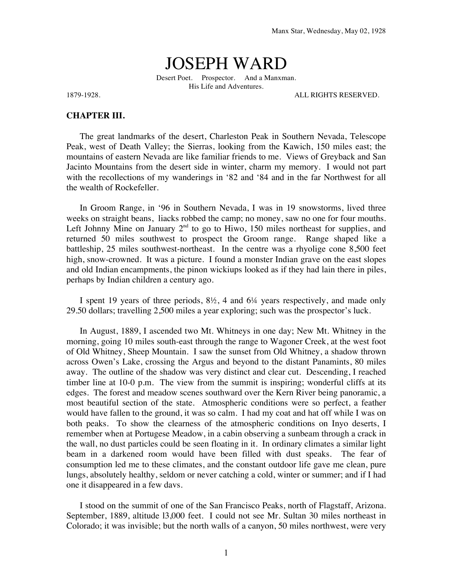## JOSEPH WARD

Desert Poet. Prospector. And a Manxman. His Life and Adventures.

1879-1928. ALL RIGHTS RESERVED.

## **CHAPTER III.**

The great landmarks of the desert, Charleston Peak in Southern Nevada, Telescope Peak, west of Death Valley; the Sierras, looking from the Kawich, 150 miles east; the mountains of eastern Nevada are like familiar friends to me. Views of Greyback and San Jacinto Mountains from the desert side in winter, charm my memory. I would not part with the recollections of my wanderings in '82 and '84 and in the far Northwest for all the wealth of Rockefeller.

In Groom Range, in '96 in Southern Nevada, I was in 19 snowstorms, lived three weeks on straight beans, liacks robbed the camp; no money, saw no one for four mouths. Left Johnny Mine on January  $2<sup>nd</sup>$  to go to Hiwo, 150 miles northeast for supplies, and returned 50 miles southwest to prospect the Groom range. Range shaped like a battleship, 25 miles southwest-northeast. In the centre was a rhyolige cone 8,500 feet high, snow-crowned. It was a picture. I found a monster Indian grave on the east slopes and old Indian encampments, the pinon wickiups looked as if they had lain there in piles, perhaps by Indian children a century ago.

I spent 19 years of three periods, 8½, 4 and 6¼ years respectively, and made only 29.50 dollars; travelling 2,500 miles a year exploring; such was the prospector's luck.

In August, 1889, I ascended two Mt. Whitneys in one day; New Mt. Whitney in the morning, going 10 miles south-east through the range to Wagoner Creek, at the west foot of Old Whitney, Sheep Mountain. I saw the sunset from Old Whitney, a shadow thrown across Owen's Lake, crossing the Argus and beyond to the distant Panamints, 80 miles away. The outline of the shadow was very distinct and clear cut. Descending, I reached timber line at 10-0 p.m. The view from the summit is inspiring; wonderful cliffs at its edges. The forest and meadow scenes southward over the Kern River being panoramic, a most beautiful section of the state. Atmospheric conditions were so perfect, a feather would have fallen to the ground, it was so calm. I had my coat and hat off while I was on both peaks. To show the clearness of the atmospheric conditions on Inyo deserts, I remember when at Portugese Meadow, in a cabin observing a sunbeam through a crack in the wall, no dust particles could be seen floating in it. In ordinary climates a similar light beam in a darkened room would have been filled with dust speaks. The fear of consumption led me to these climates, and the constant outdoor life gave me clean, pure lungs, absolutely healthy, seldom or never catching a cold, winter or summer; and if I had one it disappeared in a few davs.

I stood on the summit of one of the San Francisco Peaks, north of Flagstaff, Arizona. September, 1889, altitude l3,000 feet. I could not see Mr. Sultan 30 miles northeast in Colorado; it was invisible; but the north walls of a canyon, 50 miles northwest, were very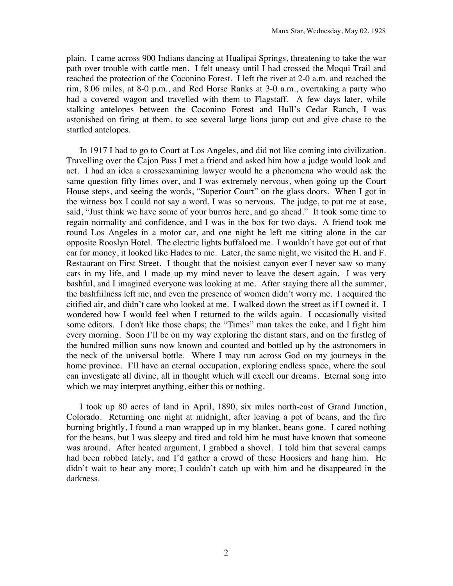plain. I came across 900 Indians dancing at Hualipai Springs, threatening to take the war path over trouble with cattle men. I felt uneasy until I had crossed the Moqui Trail and reached the protection of the Coconino Forest. I left the river at 2-0 a.m. and reached the rim, 8.06 miles, at 8-0 p.m., and Red Horse Ranks at 3-0 a.m., overtaking a party who had a covered wagon and travelled with them to Flagstaff. A few days later, while stalking antelopes between the Coconino Forest and Hull's Cedar Ranch, I was astonished on firing at them, to see several large lions jump out and give chase to the startled antelopes.

In 1917 I had to go to Court at Los Angeles, and did not like coming into civilization. Travelling over the Cajon Pass I met a friend and asked him how a judge would look and act. I had an idea a crossexamining lawyer would he a phenomena who would ask the same question fifty limes over, and I was extremely nervous, when going up the Court House steps, and seeing the words, "Superior Court" on the glass doors. When I got in the witness box I could not say a word, I was so nervous. The judge, to put me at ease, said, "Just think we have some of your burros here, and go ahead." It took some time to regain normality and confidence, and I was in the box for two days. A friend took me round Los Angeles in a motor car, and one night he left me sitting alone in the car opposite Rooslyn Hotel. The electric lights buffaloed me. I wouldn't have got out of that car for money, it looked like Hades to me. Later, the same night, we visited the H. and F. Restaurant on First Street. I thought that the noisiest canyon ever I never saw so many cars in my life, and 1 made up my mind never to leave the desert again. I was very bashful, and I imagined everyone was looking at me. After staying there all the summer, the bashfiilness left me, and even the presence of women didn't worry me. I acquired the citified air, and didn't care who looked at me. I walked down the street as if I owned it. I wondered how I would feel when I returned to the wilds again. I occasionally visited some editors. I don't like those chaps; the "Times" man takes the cake, and I fight him every morning. Soon I'll be on my way exploring the distant stars, and on the firstleg of the hundred million suns now known and counted and bottled up by the astronomers in the neck of the universal bottle. Where I may run across God on my journeys in the home province. I'll have an eternal occupation, exploring endless space, where the soul can investigate all divine, all in thought which will excell our dreams. Eternal song into which we may interpret anything, either this or nothing.

I took up 80 acres of land in April, 1890, six miles north-east of Grand Junction, Colorado. Returning one night at midnight, after leaving a pot of beans, and the fire burning brightly, I found a man wrapped up in my blanket, beans gone. I cared nothing for the beans, but I was sleepy and tired and told him he must have known that someone was around. After heated argument, I grabbed a shovel. I told him that several camps had been robbed lately, and I'd gather a crowd of these Hoosiers and hang him. He didn't wait to hear any more; I couldn't catch up with him and he disappeared in the darkness.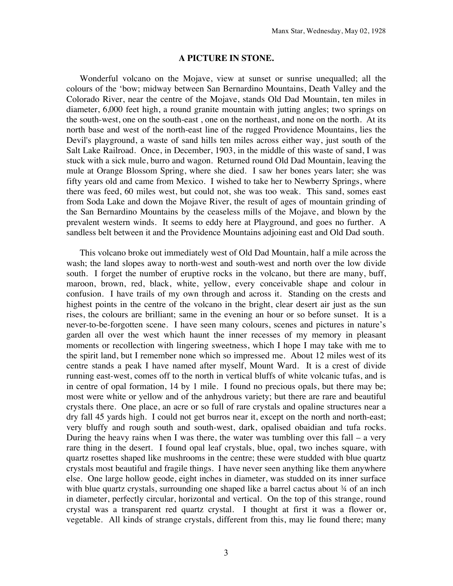## **A PICTURE IN STONE.**

Wonderful volcano on the Mojave, view at sunset or sunrise unequalled; all the colours of the 'bow; midway between San Bernardino Mountains, Death Valley and the Colorado River, near the centre of the Mojave, stands Old Dad Mountain, ten miles in diameter, 6,000 feet high, a round granite mountain with jutting angles; two springs on the south-west, one on the south-east , one on the northeast, and none on the north. At its north base and west of the north-east line of the rugged Providence Mountains, lies the Devil's playground, a waste of sand hills ten miles across either way, just south of the Salt Lake Railroad. Once, in December, 1903, in the middle of this waste of sand, I was stuck with a sick mule, burro and wagon. Returned round Old Dad Mountain, leaving the mule at Orange Blossom Spring, where she died. I saw her bones years later; she was fifty years old and came from Mexico. I wished to take her to Newberry Springs, where there was feed, 60 miles west, but could not, she was too weak. This sand, somes east from Soda Lake and down the Mojave River, the result of ages of mountain grinding of the San Bernardino Mountains by the ceaseless mills of the Mojave, and blown by the prevalent western winds. It seems to eddy here at Playground, and goes no further. A sandless belt between it and the Providence Mountains adjoining east and Old Dad south.

This volcano broke out immediately west of Old Dad Mountain, half a mile across the wash; the land slopes away to north-west and south-west and north over the low divide south. I forget the number of eruptive rocks in the volcano, but there are many, buff, maroon, brown, red, black, white, yellow, every conceivable shape and colour in confusion. I have trails of my own through and across it. Standing on the crests and highest points in the centre of the volcano in the bright, clear desert air just as the sun rises, the colours are brilliant; same in the evening an hour or so before sunset. It is a never-to-be-forgotten scene. I have seen many colours, scenes and pictures in nature's garden all over the west which haunt the inner recesses of my memory in pleasant moments or recollection with lingering sweetness, which I hope I may take with me to the spirit land, but I remember none which so impressed me. About 12 miles west of its centre stands a peak I have named after myself, Mount Ward. It is a crest of divide running east-west, comes off to the north in vertical bluffs of white volcanic tufas, and is in centre of opal formation, 14 by 1 mile. I found no precious opals, but there may be; most were white or yellow and of the anhydrous variety; but there are rare and beautiful crystals there. One place, an acre or so full of rare crystals and opaline structures near a dry fall 45 yards high. I could not get burros near it, except on the north and north-east; very bluffy and rough south and south-west, dark, opalised obaidian and tufa rocks. During the heavy rains when I was there, the water was tumbling over this fall – a very rare thing in the desert. I found opal leaf crystals, blue, opal, two inches square, with quartz rosettes shaped like mushrooms in the centre; these were studded with blue quartz crystals most beautiful and fragile things. I have never seen anything like them anywhere else. One large hollow geode, eight inches in diameter, was studded on its inner surface with blue quartz crystals, surrounding one shaped like a barrel cactus about  $\frac{3}{4}$  of an inch in diameter, perfectly circular, horizontal and vertical. On the top of this strange, round crystal was a transparent red quartz crystal. I thought at first it was a flower or, vegetable. All kinds of strange crystals, different from this, may lie found there; many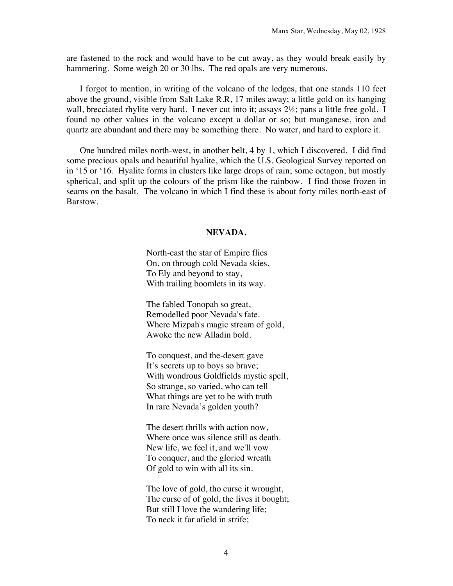are fastened to the rock and would have to be cut away, as they would break easily by hammering. Some weigh 20 or 30 lbs. The red opals are very numerous.

I forgot to mention, in writing of the volcano of the ledges, that one stands 110 feet above the ground, visible from Salt Lake R.R, 17 miles away; a little gold on its hanging wall, brecciated rhylite very hard. I never cut into it; assays  $2\frac{1}{2}$ ; pans a little free gold. I found no other values in the volcano except a dollar or so; but manganese, iron and quartz are abundant and there may be something there. No water, and hard to explore it.

One hundred miles north-west, in another belt, 4 by 1, which I discovered. I did find some precious opals and beautiful hyalite, which the U.S. Geological Survey reported on in '15 or '16. Hyalite forms in clusters like large drops of rain; some octagon, but mostly spherical, and split up the colours of the prism like the rainbow. I find those frozen in seams on the basalt. The volcano in which I find these is about forty miles north-east of Barstow.

## **NEVADA.**

North-east the star of Empire flies On, on through cold Nevada skies, To Ely and beyond to stay, With trailing boomlets in its way.

The fabled Tonopah so great, Remodelled poor Nevada's fate. Where Mizpah's magic stream of gold, Awoke the new Alladin bold.

To conquest, and the-desert gave It's secrets up to boys so brave; With wondrous Goldfields mystic spell, So strange, so varied, who can tell What things are yet to be with truth In rare Nevada's golden youth?

The desert thrills with action now, Where once was silence still as death. New life, we feel it, and we'll vow To conquer, and the gloried wreath Of gold to win with all its sin.

The love of gold, tho curse it wrought, The curse of of gold, the lives it bought; But still I love the wandering life; To neck it far afield in strife;